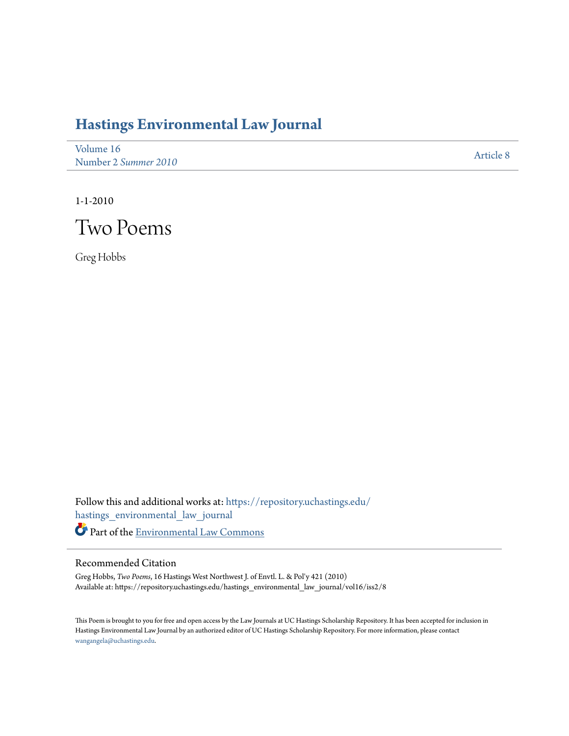## **[Hastings Environmental Law Journal](https://repository.uchastings.edu/hastings_environmental_law_journal?utm_source=repository.uchastings.edu%2Fhastings_environmental_law_journal%2Fvol16%2Fiss2%2F8&utm_medium=PDF&utm_campaign=PDFCoverPages)**

| Volume 16            | <b>Article 8</b> |
|----------------------|------------------|
| Number 2 Summer 2010 |                  |

1-1-2010



Greg Hobbs

Follow this and additional works at: [https://repository.uchastings.edu/](https://repository.uchastings.edu/hastings_environmental_law_journal?utm_source=repository.uchastings.edu%2Fhastings_environmental_law_journal%2Fvol16%2Fiss2%2F8&utm_medium=PDF&utm_campaign=PDFCoverPages) [hastings\\_environmental\\_law\\_journal](https://repository.uchastings.edu/hastings_environmental_law_journal?utm_source=repository.uchastings.edu%2Fhastings_environmental_law_journal%2Fvol16%2Fiss2%2F8&utm_medium=PDF&utm_campaign=PDFCoverPages) Part of the [Environmental Law Commons](http://network.bepress.com/hgg/discipline/599?utm_source=repository.uchastings.edu%2Fhastings_environmental_law_journal%2Fvol16%2Fiss2%2F8&utm_medium=PDF&utm_campaign=PDFCoverPages)

## Recommended Citation

Greg Hobbs, *Two Poems*, 16 Hastings West Northwest J. of Envtl. L. & Pol'y 421 (2010) Available at: https://repository.uchastings.edu/hastings\_environmental\_law\_journal/vol16/iss2/8

This Poem is brought to you for free and open access by the Law Journals at UC Hastings Scholarship Repository. It has been accepted for inclusion in Hastings Environmental Law Journal by an authorized editor of UC Hastings Scholarship Repository. For more information, please contact [wangangela@uchastings.edu](mailto:wangangela@uchastings.edu).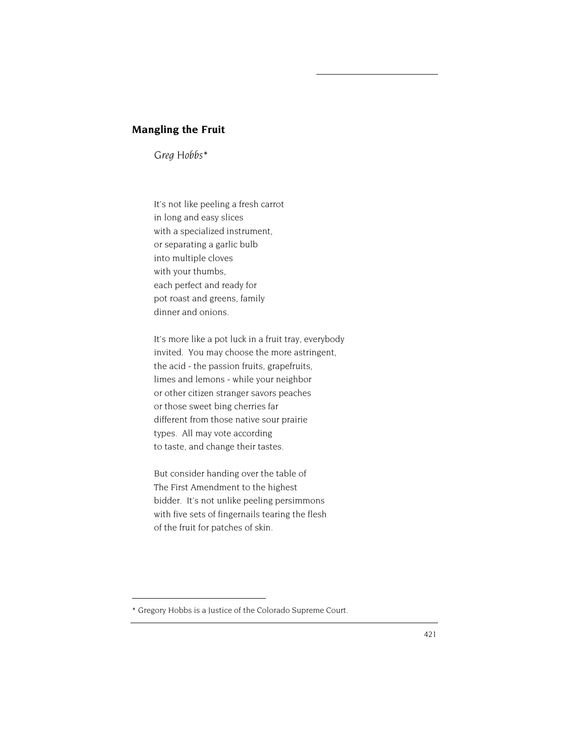## **Mangling the Fruit**

*Greg Hobbs\**

It's not like peeling a fresh carrot in long and easy slices with a specialized instrument, or separating a garlic bulb into multiple cloves with your thumbs, each perfect and ready for pot roast and greens, family dinner and onions.

It's more like a pot luck in a fruit tray, everybody invited. You may choose the more astringent, the acid - the passion fruits, grapefruits, limes and lemons - while your neighbor or other citizen stranger savors peaches or those sweet bing cherries far different from those native sour prairie types. All may vote according to taste, and change their tastes.

But consider handing over the table of The First Amendment to the highest bidder. It's not unlike peeling persimmons with five sets of fingernails tearing the flesh of the fruit for patches of skin.

<sup>\*</sup> Gregory Hobbs is a Justice of the Colorado Supreme Court.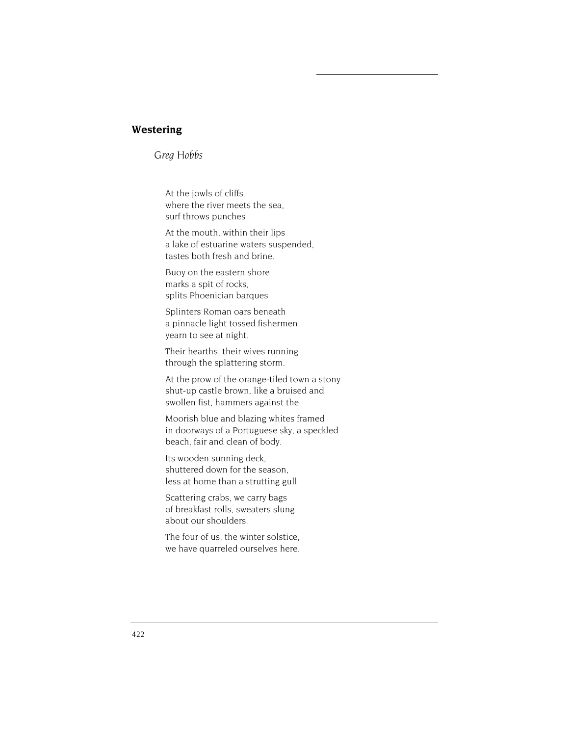## **Westering**

*Greg Hobbs* 

At the jowls of cliffs where the river meets the sea, surf throws punches

At the mouth, within their lips a lake of estuarine waters suspended, tastes both fresh and brine.

Buoy on the eastern shore marks a spit of rocks, splits Phoenician barques

Splinters Roman oars beneath a pinnacle light tossed fishermen yearn to see at night.

Their hearths, their wives running through the splattering storm.

At the prow of the orange-tiled town a stony shut-up castle brown, like a bruised and swollen fist, hammers against the

Moorish blue and blazing whites framed in doorways of a Portuguese sky, a speckled beach, fair and clean of body.

Its wooden sunning deck, shuttered down for the season, less at home than a strutting gull

Scattering crabs, we carry bags of breakfast rolls, sweaters slung about our shoulders.

The four of us, the winter solstice, we have quarreled ourselves here.